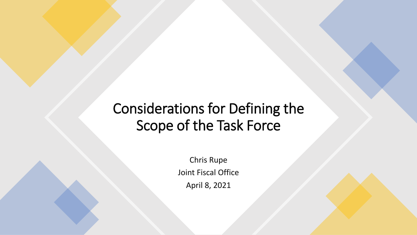### Considerations for Defining the Scope of the Task Force

Chris Rupe Joint Fiscal Office April 8, 2021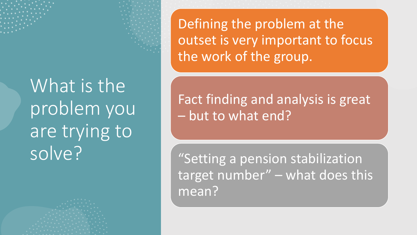What is the problem you are trying to solve?

Defining the problem at the outset is very important to focus the work of the group.

Fact finding and analysis is great – but to what end?

"Setting a pension stabilization target number" - what does this mean?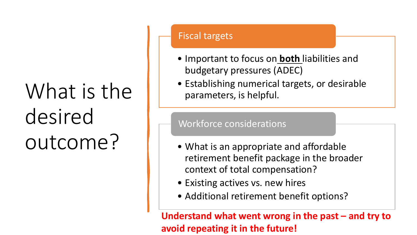# What is the desired outcome?

#### Fiscal targets

- Important to focus on **both** liabilities and budgetary pressures (ADEC)
- Establishing numerical targets, or desirable parameters, is helpful.

#### Workforce considerations

- What is an appropriate and affordable retirement benefit package in the broader context of total compensation?
- Existing actives vs. new hires
- Additional retirement benefit options?

**Understand what went wrong in the past – and try to avoid repeating it in the future!**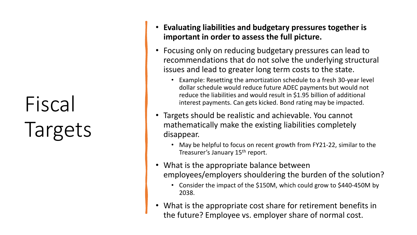## Fiscal Targets

- **Evaluating liabilities and budgetary pressures together is important in order to assess the full picture.**
- Focusing only on reducing budgetary pressures can lead to recommendations that do not solve the underlying structural issues and lead to greater long term costs to the state.
	- Example: Resetting the amortization schedule to a fresh 30-year level dollar schedule would reduce future ADEC payments but would not reduce the liabilities and would result in \$1.95 billion of additional interest payments. Can gets kicked. Bond rating may be impacted.
- Targets should be realistic and achievable. You cannot mathematically make the existing liabilities completely disappear.
	- May be helpful to focus on recent growth from FY21-22, similar to the Treasurer's January 15th report.
- What is the appropriate balance between employees/employers shouldering the burden of the solution?
	- Consider the impact of the \$150M, which could grow to \$440-450M by 2038.
- What is the appropriate cost share for retirement benefits in the future? Employee vs. employer share of normal cost.